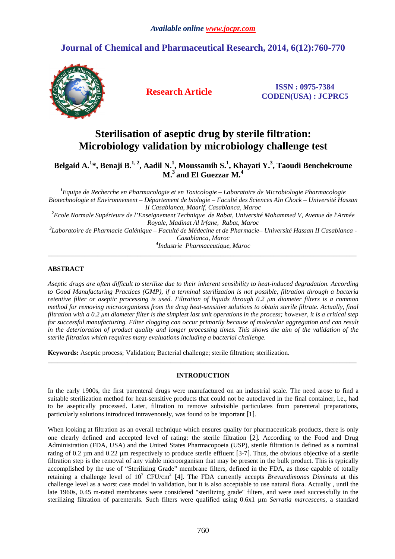# **Journal of Chemical and Pharmaceutical Research, 2014, 6(12):760-770**



**Research Article ISSN : 0975-7384 CODEN(USA) : JCPRC5**

# **Sterilisation of aseptic drug by sterile filtration: Microbiology validation by microbiology challenge test**

**Belgaid A.<sup>1</sup> \*, Benaji B.1, 2, Aadil N.<sup>1</sup> , Moussamih S.<sup>1</sup> , Khayati Y.<sup>3</sup> , Taoudi Benchekroune M.<sup>3</sup>and El Guezzar M.<sup>4</sup>**

*<sup>1</sup>Equipe de Recherche en Pharmacologie et en Toxicologie – Laboratoire de Microbiologie Pharmacologie Biotechnologie et Environnement – Département de biologie – Faculté des Sciences Aïn Chock – Université Hassan II Casablanca, Maarif, Casablanca, Maroc <sup>2</sup>Ecole Normale Supérieure de l'Enseignement Technique de Rabat, Université Mohammed V, Avenue de l'Armée Royale, Madinat Al Irfane, Rabat, Maroc 3 Laboratoire de Pharmacie Galénique – Faculté de Médecine et de Pharmacie– Université Hassan II Casablanca - Casablanca, Maroc 4 Industrie Pharmaceutique, Maroc* 

\_\_\_\_\_\_\_\_\_\_\_\_\_\_\_\_\_\_\_\_\_\_\_\_\_\_\_\_\_\_\_\_\_\_\_\_\_\_\_\_\_\_\_\_\_\_\_\_\_\_\_\_\_\_\_\_\_\_\_\_\_\_\_\_\_\_\_\_\_\_\_\_\_\_\_\_\_\_\_\_\_\_\_\_\_\_\_\_\_\_\_\_\_

# **ABSTRACT**

*Aseptic drugs are often difficult to sterilize due to their inherent sensibility to heat-induced degradation. According to Good Manufacturing Practices (GMP), if a terminal sterilization is not possible, filtration through a bacteria retentive filter or aseptic processing is used. Filtration of liquids through 0.2 µm diameter filters is a common method for removing microorganisms from the drug heat-sensitive solutions to obtain sterile filtrate. Actually, final filtration with a 0.2 µm diameter filter is the simplest last unit operations in the process; however, it is a critical step for successful manufacturing. Filter clogging can occur primarily because of molecular aggregation and can result*  in the deterioration of product quality and longer processing times. This shows the aim of the validation of the *sterile filtration which requires many evaluations including a bacterial challenge.* 

**Keywords:** Aseptic process; Validation; Bacterial challenge; sterile filtration; sterilization.

# **INTRODUCTION**

\_\_\_\_\_\_\_\_\_\_\_\_\_\_\_\_\_\_\_\_\_\_\_\_\_\_\_\_\_\_\_\_\_\_\_\_\_\_\_\_\_\_\_\_\_\_\_\_\_\_\_\_\_\_\_\_\_\_\_\_\_\_\_\_\_\_\_\_\_\_\_\_\_\_\_\_\_\_\_\_\_\_\_\_\_\_\_\_\_\_\_\_\_

In the early 1900s, the first parenteral drugs were manufactured on an industrial scale. The need arose to find a suitable sterilization method for heat-sensitive products that could not be autoclaved in the final container, i.e., had to be aseptically processed. Later, filtration to remove subvisible particulates from parenteral preparations, particularly solutions introduced intravenously, was found to be important [1].

When looking at filtration as an overall technique which ensures quality for pharmaceuticals products, there is only one clearly defined and accepted level of rating: the sterile filtration [2]. According to the Food and Drug Administration (FDA, USA) and the United States Pharmacopoeia (USP), sterile filtration is defined as a nominal rating of 0.2 µm and 0.22 µm respectively to produce sterile effluent [3-7]. Thus, the obvious objective of a sterile filtration step is the removal of any viable microorganism that may be present in the bulk product. This is typically accomplished by the use of "Sterilizing Grade" membrane filters, defined in the FDA, as those capable of totally retaining a challenge level of 10<sup>7</sup> CFU/cm<sup>2</sup> [4]. The FDA currently accepts *Brevundimonas Diminuta* at this challenge level as a worst case model in validation, but it is also acceptable to use natural flora. Actually , until the late 1960s, 0.45 m-rated membranes were considered "sterilizing grade" filters, and were used successfully in the sterilizing filtration of parenterals. Such filters were qualified using 0.6x1 µm *Serratia marcescens*, a standard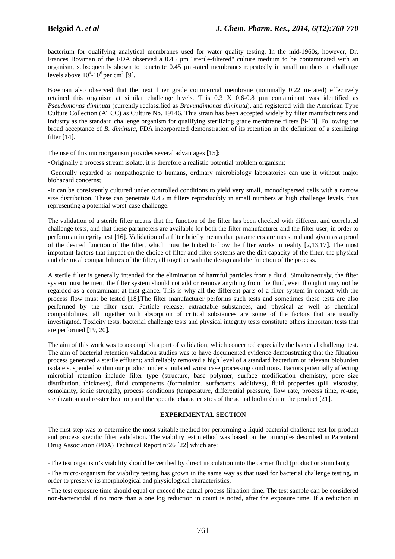bacterium for qualifying analytical membranes used for water quality testing. In the mid-1960s, however, Dr. Frances Bowman of the FDA observed a 0.45  $\mu$ m "sterile-filtered" culture medium to be contaminated with an organism, subsequently shown to penetrate 0.45 µm-rated membranes repeatedly in small numbers at challenge levels above  $10^4$ - $10^6$  per cm<sup>2</sup> [9].

*\_\_\_\_\_\_\_\_\_\_\_\_\_\_\_\_\_\_\_\_\_\_\_\_\_\_\_\_\_\_\_\_\_\_\_\_\_\_\_\_\_\_\_\_\_\_\_\_\_\_\_\_\_\_\_\_\_\_\_\_\_\_\_\_\_\_\_\_\_\_\_\_\_\_\_\_\_\_*

Bowman also observed that the next finer grade commercial membrane (nominally 0.22 m-rated) effectively retained this organism at similar challenge levels. This 0.3 X 0.6-0.8 µm contaminant was identified as *Pseudomonas diminuta* (currently reclassified as *Brevundimonas diminuta*), and registered with the American Type Culture Collection (ATCC) as Culture No. 19146. This strain has been accepted widely by filter manufacturers and industry as the standard challenge organism for qualifying sterilizing grade membrane filters [9-13]. Following the broad acceptance of *B. diminuta*, FDA incorporated demonstration of its retention in the definition of a sterilizing filter [14].

The use of this microorganism provides several advantages [15]:

**-**Originally a process stream isolate, it is therefore a realistic potential problem organism;

**-**Generally regarded as nonpathogenic to humans, ordinary microbiology laboratories can use it without major biohazard concerns;

**-**It can be consistently cultured under controlled conditions to yield very small, monodispersed cells with a narrow size distribution. These can penetrate 0.45 m filters reproducibly in small numbers at high challenge levels, thus representing a potential worst-case challenge.

The validation of a sterile filter means that the function of the filter has been checked with different and correlated challenge tests, and that these parameters are available for both the filter manufacturer and the filter user, in order to perform an integrity test [16]. Validation of a filter briefly means that parameters are measured and given as a proof of the desired function of the filter, which must be linked to how the filter works in reality [2,13,17]. The most important factors that impact on the choice of filter and filter systems are the dirt capacity of the filter, the physical and chemical compatibilities of the filter, all together with the design and the function of the process.

A sterile filter is generally intended for the elimination of harmful particles from a fluid. Simultaneously, the filter system must be inert; the filter system should not add or remove anything from the fluid, even though it may not be regarded as a contaminant at first glance. This is why all the different parts of a filter system in contact with the process flow must be tested [18].The filter manufacturer performs such tests and sometimes these tests are also performed by the filter user. Particle release, extractable substances, and physical as well as chemical compatibilities, all together with absorption of critical substances are some of the factors that are usually investigated. Toxicity tests, bacterial challenge tests and physical integrity tests constitute others important tests that are performed [19, 20].

The aim of this work was to accomplish a part of validation, which concerned especially the bacterial challenge test. The aim of bacterial retention validation studies was to have documented evidence demonstrating that the filtration process generated a sterile effluent; and reliably removed a high level of a standard bacterium or relevant bioburden isolate suspended within our product under simulated worst case processing conditions. Factors potentially affecting microbial retention include filter type (structure, base polymer, surface modification chemistry, pore size distribution, thickness), fluid components (formulation, surfactants, additives), fluid properties (pH, viscosity, osmolarity, ionic strength), process conditions (temperature, differential pressure, flow rate, process time, re-use, sterilization and re-sterilization) and the specific characteristics of the actual bioburden in the product [21].

## **EXPERIMENTAL SECTION**

The first step was to determine the most suitable method for performing a liquid bacterial challenge test for product and process specific filter validation. The viability test method was based on the principles described in Parenteral Drug Association (PDA) Technical Report n°26 [22] which are:

-The test organism's viability should be verified by direct inoculation into the carrier fluid (product or stimulant);

-The micro-organism for viability testing has grown in the same way as that used for bacterial challenge testing, in order to preserve its morphological and physiological characteristics;

-The test exposure time should equal or exceed the actual process filtration time. The test sample can be considered non-bactericidal if no more than a one log reduction in count is noted, after the exposure time. If a reduction in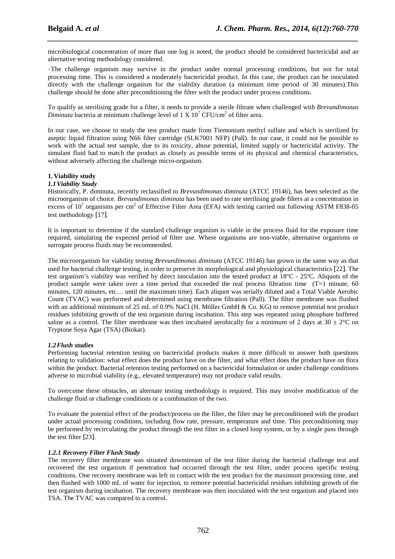microbiological concentration of more than one log is noted, the product should be considered bactericidal and an alternative testing methodology considered.

*\_\_\_\_\_\_\_\_\_\_\_\_\_\_\_\_\_\_\_\_\_\_\_\_\_\_\_\_\_\_\_\_\_\_\_\_\_\_\_\_\_\_\_\_\_\_\_\_\_\_\_\_\_\_\_\_\_\_\_\_\_\_\_\_\_\_\_\_\_\_\_\_\_\_\_\_\_\_*

-The challenge organism may survive in the product under normal processing conditions, but not for total processing time. This is considered a moderately bactericidal product. In this case, the product can be inoculated directly with the challenge organism for the viability duration (a minimum time period of 30 minutes). This challenge should be done after preconditioning the filter with the product under process conditions.

To qualify as sterilising grade for a filter, it needs to provide a sterile filtrate when challenged with *Brevundimonas Diminuta* bacteria at minimum challenge level of  $1 \times 10^7$  CFU/cm<sup>2</sup> of filter area.

In our case, we choose to study the test product made from Tiemonium methyl sulfate and which is sterilized by aseptic liquid filtration using N66 filter cartridge (SLK7001 NFP) (Pall). In our case, it could not be possible to work with the actual test sample, due to its toxicity, abuse potential, limited supply or bactericidal activity. The simulant fluid had to match the product as closely as possible terms of its physical and chemical characteristics, without adversely affecting the challenge micro-organism.

# **1. Viability study**

## *1.1Viability Study*

Historically, P. diminuta, recently reclassified to *Brevundimonas diminuta* (ATCC 19146), has been selected as the microorganism of choice. *Brevundimonas diminuta* has been used to rate sterilising grade filters at a concentration in excess of 10<sup>7</sup> organisms per cm<sup>2</sup> of Effective Filter Area (EFA) with testing carried out following ASTM F838-05 test methodology [17].

It is important to determine if the standard challenge organism is viable in the process fluid for the exposure time required, simulating the expected period of filter use. Where organisms are non-viable, alternative organisms or surrogate process fluids may be recommended.

The microorganism for viability testing *Brevundimonas diminuta* (ATCC 19146) has grown in the same way as that used for bacterial challenge testing, in order to preserve its morphological and physiological characteristics [22]. The test organism's viability was verified by direct inoculation into the tested product at 18°C - 25ºC. Aliquots of the product sample were taken over a time period that exceeded the real process filtration time (T=1 minute, 60 minutes, 120 minutes, etc… until the maximum time). Each aliquot was serially diluted and a Total Viable Aerobic Count (TVAC) was performed and determined using membrane filtration (Pall). The filter membrane was flushed with an additional minimum of 25 mL of 0.9% NaCl (H. Möller GmbH & Co. KG) to remove potential test product residues inhibiting growth of the test organism during incubation. This step was repeated using phosphate buffered saline as a control. The filter membrane was then incubated aerobically for a minimum of 2 days at 30  $\pm$  2°C on Tryptone Soya Agar (TSA) (Biokar).

## *1.2Flush studies*

Performing bacterial retention testing on bactericidal products makes it more difficult to answer both questions relating to validation: what effect does the product have on the filter, and what effect does the product have on flora within the product. Bacterial retention testing performed on a bactericidal formulation or under challenge conditions adverse to microbial viability (e.g., elevated temperature) may not produce valid results.

To overcome these obstacles, an alternate testing methodology is required. This may involve modification of the challenge fluid or challenge conditions or a combination of the two.

To evaluate the potential effect of the product/process on the filter, the filter may be preconditioned with the product under actual processing conditions, including flow rate, pressure, temperature and time. This preconditioning may be performed by recirculating the product through the test filter in a closed loop system, or by a single pass through the test filter [23].

## *1.2.1 Recovery Filter Flush Study*

The recovery filter membrane was situated downstream of the test filter during the bacterial challenge test and recovered the test organism if penetration had occurred through the test filter, under process specific testing conditions. One recovery membrane was left in contact with the test product for the maximum processing time, and then flushed with 1000 mL of water for injection, to remove potential bactericidal residues inhibiting growth of the test organism during incubation. The recovery membrane was then inoculated with the test organism and placed into TSA. The TVAC was compared to a control.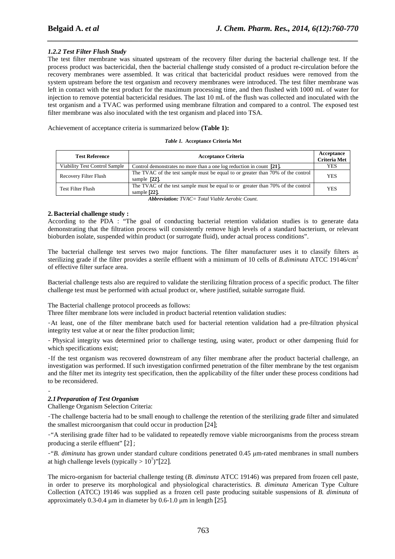# *1.2.2 Test Filter Flush Study*

The test filter membrane was situated upstream of the recovery filter during the bacterial challenge test. If the process product was bactericidal, then the bacterial challenge study consisted of a product re-circulation before the recovery membranes were assembled. It was critical that bactericidal product residues were removed from the system upstream before the test organism and recovery membranes were introduced. The test filter membrane was left in contact with the test product for the maximum processing time, and then flushed with 1000 mL of water for injection to remove potential bactericidal residues. The last 10 mL of the flush was collected and inoculated with the test organism and a TVAC was performed using membrane filtration and compared to a control. The exposed test filter membrane was also inoculated with the test organism and placed into TSA.

*\_\_\_\_\_\_\_\_\_\_\_\_\_\_\_\_\_\_\_\_\_\_\_\_\_\_\_\_\_\_\_\_\_\_\_\_\_\_\_\_\_\_\_\_\_\_\_\_\_\_\_\_\_\_\_\_\_\_\_\_\_\_\_\_\_\_\_\_\_\_\_\_\_\_\_\_\_\_*

Achievement of acceptance criteria is summarized below **(Table 1):**

| Table 1. Acceptance Criteria Met |  |  |  |
|----------------------------------|--|--|--|
|----------------------------------|--|--|--|

| <b>Test Reference</b>         | <b>Acceptance Criteria</b><br><b>Criteria Met</b>                                                  |            |
|-------------------------------|----------------------------------------------------------------------------------------------------|------------|
| Viability Test Control Sample | Control demonstrates no more than a one log reduction in count [21].                               | <b>YES</b> |
| Recovery Filter Flush         | The TVAC of the test sample must be equal to or greater than 70% of the control<br>sample $[22]$ . | <b>YES</b> |
| <b>Test Filter Flush</b>      | The TVAC of the test sample must be equal to or greater than 70% of the control<br>sample $[22]$ . | <b>YES</b> |

*Abbreviation: TVAC= Total Viable Aerobic Count.* 

## **2.Bacterial challenge study :**

According to the PDA : "The goal of conducting bacterial retention validation studies is to generate data demonstrating that the filtration process will consistently remove high levels of a standard bacterium, or relevant bioburden isolate, suspended within product (or surrogate fluid), under actual process conditions".

The bacterial challenge test serves two major functions. The filter manufacturer uses it to classify filters as sterilizing grade if the filter provides a sterile effluent with a minimum of 10 cells of *B.diminuta* ATCC 19146/cm<sup>2</sup> of effective filter surface area.

Bacterial challenge tests also are required to validate the sterilizing filtration process of a specific product. The filter challenge test must be performed with actual product or, where justified, suitable surrogate fluid.

The Bacterial challenge protocol proceeds as follows:

Three filter membrane lots were included in product bacterial retention validation studies:

-At least, one of the filter membrane batch used for bacterial retention validation had a pre-filtration physical integrity test value at or near the filter production limit;

- Physical integrity was determined prior to challenge testing, using water, product or other dampening fluid for which specifications exist;

-If the test organism was recovered downstream of any filter membrane after the product bacterial challenge, an investigation was performed. If such investigation confirmed penetration of the filter membrane by the test organism and the filter met its integrity test specification, then the applicability of the filter under these process conditions had to be reconsidered.

#### - *2.1Preparation of Test Organism*

Challenge Organism Selection Criteria:

-The challenge bacteria had to be small enough to challenge the retention of the sterilizing grade filter and simulated the smallest microorganism that could occur in production [24];

-"A sterilising grade filter had to be validated to repeatedly remove viable microorganisms from the process stream producing a sterile effluent" [2] ;

-"*B. diminuta* has grown under standard culture conditions penetrated 0.45 µm-rated membranes in small numbers at high challenge levels (typically  $> 10^7$ )"[22].

The micro-organism for bacterial challenge testing (*B. diminuta* ATCC 19146) was prepared from frozen cell paste, in order to preserve its morphological and physiological characteristics. *B. diminuta* American Type Culture Collection (ATCC) 19146 was supplied as a frozen cell paste producing suitable suspensions of *B. diminuta* of approximately 0.3-0.4 µm in diameter by 0.6-1.0 µm in length [25].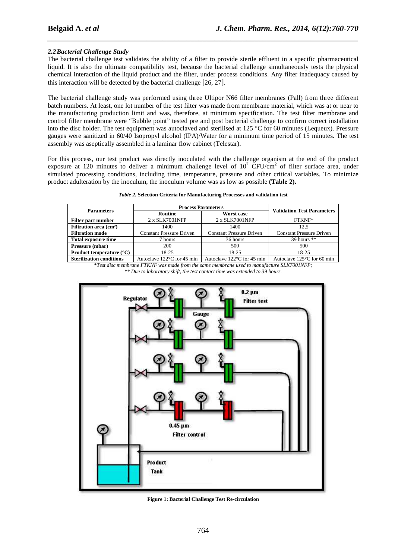# *2.2Bacterial Challenge Study*

The bacterial challenge test validates the ability of a filter to provide sterile effluent in a specific pharmaceutical liquid. It is also the ultimate compatibility test, because the bacterial challenge simultaneously tests the physical chemical interaction of the liquid product and the filter, under process conditions. Any filter inadequacy caused by this interaction will be detected by the bacterial challenge [26, 27].

*\_\_\_\_\_\_\_\_\_\_\_\_\_\_\_\_\_\_\_\_\_\_\_\_\_\_\_\_\_\_\_\_\_\_\_\_\_\_\_\_\_\_\_\_\_\_\_\_\_\_\_\_\_\_\_\_\_\_\_\_\_\_\_\_\_\_\_\_\_\_\_\_\_\_\_\_\_\_*

The bacterial challenge study was performed using three Ultipor N66 filter membranes (Pall) from three different batch numbers. At least, one lot number of the test filter was made from membrane material, which was at or near to the manufacturing production limit and was, therefore, at minimum specification. The test filter membrane and control filter membrane were "Bubble point" tested pre and post bacterial challenge to confirm correct installation into the disc holder. The test equipment was autoclaved and sterilised at 125 °C for 60 minutes (Lequeux). Pressure gauges were sanitized in 60/40 Isopropyl alcohol (IPA)/Water for a minimum time period of 15 minutes. The test assembly was aseptically assembled in a laminar flow cabinet (Telestar).

For this process, our test product was directly inoculated with the challenge organism at the end of the product exposure at 120 minutes to deliver a minimum challenge level of  $10^7$  CFU/cm<sup>2</sup> of filter surface area, under simulated processing conditions, including time, temperature, pressure and other critical variables. To minimize product adulteration by the inoculum, the inoculum volume was as low as possible **(Table 2).** 

|  |  |  | Table 2. Selection Criteria for Manufacturing Processes and validation test |
|--|--|--|-----------------------------------------------------------------------------|
|  |  |  |                                                                             |

| <b>Parameters</b>                                                                                                                                                                                                              | <b>Process Parameters</b>       | <b>Validation Test Parameters</b>                                                                                         |                                                                                                                                                                                                                                                                                                                                                    |
|--------------------------------------------------------------------------------------------------------------------------------------------------------------------------------------------------------------------------------|---------------------------------|---------------------------------------------------------------------------------------------------------------------------|----------------------------------------------------------------------------------------------------------------------------------------------------------------------------------------------------------------------------------------------------------------------------------------------------------------------------------------------------|
|                                                                                                                                                                                                                                | Worst case<br>Routine           |                                                                                                                           |                                                                                                                                                                                                                                                                                                                                                    |
| Filter part number                                                                                                                                                                                                             | 2 x SLK7001NFP                  | 2 x SLK7001NFP                                                                                                            | FTKNF*                                                                                                                                                                                                                                                                                                                                             |
| Filtration area (cm <sup>2</sup> )                                                                                                                                                                                             | 1400                            | 1400                                                                                                                      | 12.5                                                                                                                                                                                                                                                                                                                                               |
| <b>Filtration mode</b>                                                                                                                                                                                                         | <b>Constant Pressure Driven</b> | <b>Constant Pressure Driven</b>                                                                                           | <b>Constant Pressure Driven</b>                                                                                                                                                                                                                                                                                                                    |
| <b>Total exposure time</b>                                                                                                                                                                                                     | 7 hours                         | 36 hours                                                                                                                  | 39 hours $**$                                                                                                                                                                                                                                                                                                                                      |
| Pressure (mbar)                                                                                                                                                                                                                | 200                             | 500                                                                                                                       | 500                                                                                                                                                                                                                                                                                                                                                |
| <b>Product temperature</b> $(^{\circ}C)$                                                                                                                                                                                       | $18-25$                         | 18-25                                                                                                                     | 18-25                                                                                                                                                                                                                                                                                                                                              |
| The Contract of the Contract of the Contract of the Contract of the Contract of the Contract of the Contract of the Contract of the Contract of the Contract of the Contract of the Contract of the Contract of the Contract o |                                 | $\lambda_{i+1}$ - 1, 1000 f = $\lambda F$ - 1, $\lambda_{i+1}$ - 1, $\lambda_{i+2}$ - 1000 f = $\lambda F$ - 1, $\lambda$ | $A_{i+1} = 1, \ldots, A_{i} = 10, \ldots, C_{i} = 10, \ldots, C_{i} = 10, \ldots, C_{i} = 10, \ldots, C_{i} = 10, \ldots, C_{i} = 10, \ldots, C_{i} = 10, \ldots, C_{i} = 10, \ldots, C_{i} = 10, \ldots, C_{i} = 10, \ldots, C_{i} = 10, \ldots, C_{i} = 10, \ldots, C_{i} = 10, \ldots, C_{i} = 10, \ldots, C_{i} = 10, \ldots, C_{i} = 10, \ld$ |

**Sterilization conditions** | Autoclave 122°C for 45 min | Autoclave 122°C for 45 min | Autoclave 125°C for 60 min | *\*Test disc membrane FTKNF was made from the same membrane used to manufacture SLK7001NFP; \*\* Due to laboratory shift, the test contact time was extended to 39 hours.* 



**Figure 1: Bacterial Challenge Test Re-circulation**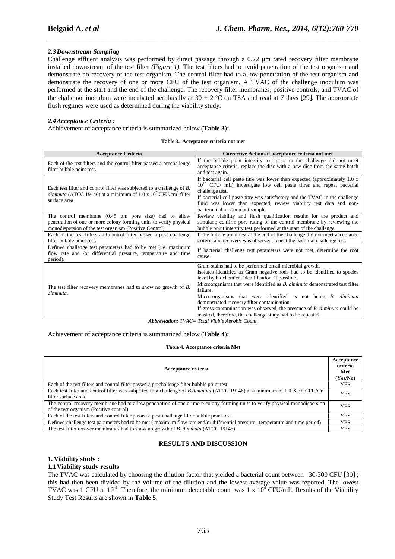# *2.3Downstream Sampling*

Challenge effluent analysis was performed by direct passage through a 0.22 µm rated recovery filter membrane installed downstream of the test filter *(Figure 1).* The test filters had to avoid penetration of the test organism and demonstrate no recovery of the test organism. The control filter had to allow penetration of the test organism and demonstrate the recovery of one or more CFU of the test organism. A TVAC of the challenge inoculum was performed at the start and the end of the challenge. The recovery filter membranes, positive controls, and TVAC of the challenge inoculum were incubated aerobically at  $30 \pm 2$  °C on TSA and read at 7 days [29]. The appropriate flush regimes were used as determined during the viability study.

*\_\_\_\_\_\_\_\_\_\_\_\_\_\_\_\_\_\_\_\_\_\_\_\_\_\_\_\_\_\_\_\_\_\_\_\_\_\_\_\_\_\_\_\_\_\_\_\_\_\_\_\_\_\_\_\_\_\_\_\_\_\_\_\_\_\_\_\_\_\_\_\_\_\_\_\_\_\_*

## *2.4Acceptance Criteria :*

Achievement of acceptance criteria is summarized below (**Table 3**):

|  | Table 3. Acceptance criteria not met |
|--|--------------------------------------|
|--|--------------------------------------|

| <b>Acceptance Criteria</b>                                                                                                                                                                  | Corrective Actions if acceptance criteria not met                                                                                                                                                                                                                                                                                                                                                                                                                                                                                                            |
|---------------------------------------------------------------------------------------------------------------------------------------------------------------------------------------------|--------------------------------------------------------------------------------------------------------------------------------------------------------------------------------------------------------------------------------------------------------------------------------------------------------------------------------------------------------------------------------------------------------------------------------------------------------------------------------------------------------------------------------------------------------------|
| Each of the test filters and the control filter passed a prechallenge<br>filter bubble point test.                                                                                          | If the bubble point integrity test prior to the challenge did not meet<br>acceptance criteria, replace the disc with a new disc from the same batch<br>and test again.                                                                                                                                                                                                                                                                                                                                                                                       |
| Each test filter and control filter was subjected to a challenge of B.<br><i>diminuta</i> (ATCC 19146) at a minimum of 1.0 x $107$ CFU/cm <sup>2</sup> filter<br>surface area               | If bacterial cell paste titre was lower than expected (approximately $1.0 \times$<br>$10^{10}$ CFU/ mL) investigate low cell paste titres and repeat bacterial<br>challenge test.<br>If bacterial cell paste titre was satisfactory and the TVAC in the challenge<br>fluid was lower than expected, review viability test data and non-<br>bactericidal or stimulant sample.                                                                                                                                                                                 |
| The control membrane $(0.45 \mu m)$ pore size) had to allow<br>penetration of one or more colony forming units to verify physical<br>monodispersion of the test organism (Positive Control) | Review viability and flush qualification results for the product and<br>simulant; confirm pore rating of the control membrane by reviewing the<br>bubble point integrity test performed at the start of the challenge.                                                                                                                                                                                                                                                                                                                                       |
| Each of the test filters and control filter passed a post challenge<br>filter bubble point test.                                                                                            | If the bubble point test at the end of the challenge did not meet acceptance<br>criteria and recovery was observed, repeat the bacterial challenge test.                                                                                                                                                                                                                                                                                                                                                                                                     |
| Defined challenge test parameters had to be met (i.e. maximum<br>flow rate and /or differential pressure, temperature and time<br>period).                                                  | If bacterial challenge test parameters were not met, determine the root<br>cause.                                                                                                                                                                                                                                                                                                                                                                                                                                                                            |
| The test filter recovery membranes had to show no growth of B.<br>diminuta.                                                                                                                 | Gram stains had to be performed on all microbial growth.<br>Isolates identified as Gram negative rods had to be identified to species<br>level by biochemical identification, if possible.<br>Microorganisms that were identified as <i>B. diminuta</i> demonstrated test filter<br>failure.<br>Micro-organisms that were identified as not being B. diminuta<br>demonstrated recovery filter contamination.<br>If gross contamination was observed, the presence of $B$ . $diminuta$ could be<br>masked, therefore, the challenge study had to be repeated. |

*Abbreviation: TVAC= Total Viable Aerobic Count.* 

## Achievement of acceptance criteria is summarized below (**Table 4**):

#### **Table 4. Acceptance criteria Met**

| Acceptance criteria                                                                                                                                                                | Acceptance<br>criteria<br>Met<br>(Yes/No) |
|------------------------------------------------------------------------------------------------------------------------------------------------------------------------------------|-------------------------------------------|
| Each of the test filters and control filter passed a prechallenge filter bubble point test                                                                                         | <b>YES</b>                                |
| Each test filter and control filter was subjected to a challenge of <i>B.diminuta</i> (ATCC 19146) at a minimum of 1.0 X10 <sup>7</sup> CFU/cm <sup>2</sup><br>filter surface area | <b>YES</b>                                |
| The control recovery membrane had to allow penetration of one or more colony forming units to verify physical monodispersion<br>of the test organism (Positive control)            | <b>YES</b>                                |
| Each of the test filters and control filter passed a post challenge filter bubble point test                                                                                       | <b>YES</b>                                |
| Defined challenge test parameters had to be met (maximum flow rate end/or differential pressure, temperature and time period)                                                      | <b>YES</b>                                |
| The test filter recover membranes had to show no growth of B. diminuta (ATCC 19146)                                                                                                | <b>YES</b>                                |

## **RESULTS AND DISCUSSION**

# **1. Viability study :**

# **1.1Viability study results**

The TVAC was calculated by choosing the dilution factor that yielded a bacterial count between 30-300 CFU [30] ; this had then been divided by the volume of the dilution and the lowest average value was reported. The lowest TVAC was 1 CFU at 10<sup>-4</sup>. Therefore, the minimum detectable count was 1 x  $10^{\frac{1}{4}}$  CFU/mL. Results of the Viability Study Test Results are shown in **Table 5**.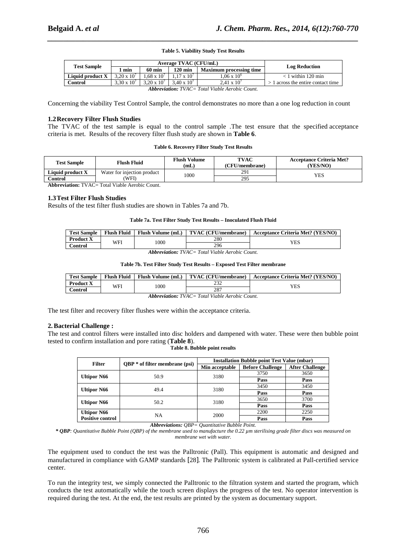# *\_\_\_\_\_\_\_\_\_\_\_\_\_\_\_\_\_\_\_\_\_\_\_\_\_\_\_\_\_\_\_\_\_\_\_\_\_\_\_\_\_\_\_\_\_\_\_\_\_\_\_\_\_\_\_\_\_\_\_\_\_\_\_\_\_\_\_\_\_\_\_\_\_\_\_\_\_\_* **Table 5. Viability Study Test Results**

| <b>Test Sample</b>                                     | Average TVAC (CFU/mL) |                      |                      |                                |                                      |  |
|--------------------------------------------------------|-----------------------|----------------------|----------------------|--------------------------------|--------------------------------------|--|
|                                                        | min                   | $60 \text{ min}$     | $120 \text{ min}$    | <b>Maximum processing time</b> | <b>Log Reduction</b>                 |  |
| Liquid product X                                       | $3.20 \times 10^{7}$  | $1.68 \times 10^{7}$ | $1.17 \times 10^{7}$ | $1.06 \times 10^{6}$           | $<$ 1 within 120 min                 |  |
| Control                                                | $3.30 \times 10^{7}$  | $3.20 \times 10^{7}$ | $3.40 \times 10^{7}$ | $2.41 \times 10^{7}$           | $> 1$ across the entire contact time |  |
| <b>Abbreviation:</b> TVAC= Total Viable Aerobic Count. |                       |                      |                      |                                |                                      |  |

*Abbreviation: TVAC= Total Viable Aerobic Count.* 

Concerning the viability Test Control Sample, the control demonstrates no more than a one log reduction in count

#### **1.2Recovery Filter Flush Studies**

The TVAC of the test sample is equal to the control sample .The test ensure that the specified acceptance criteria is met. Results of the recovery filter flush study are shown in **Table 6**.

#### **Table 6. Recovery Filter Study Test Results**

| Flush Fluid<br><b>Test Sample</b>               |       | <b>Flush Volume</b><br>(mL) | TVAC<br>(CFU/membrane) | <b>Acceptance Criteria Met?</b><br>(YES/NO) |  |
|-------------------------------------------------|-------|-----------------------------|------------------------|---------------------------------------------|--|
| Liquid product X<br>Water for injection product |       | 1000                        | 291                    | YES                                         |  |
| Control                                         | (WFI) |                             | 295                    |                                             |  |

**Abbreviation:** TVAC= Total Viable Aerobic Count.

#### **1.3Test Filter Flush Studies**

Results of the test filter flush studies are shown in Tables 7a and 7b.

#### **Table 7a. Test Filter Study Test Results – Inoculated Flush Fluid**

| <b>Test Sample</b> | <b>Flush Fluid</b> | <b>Flush Volume (mL)</b> | <b>TVAC</b> (CFU/membrane) | <b>Acceptance Criteria Met? (YES/NO)</b> |  |
|--------------------|--------------------|--------------------------|----------------------------|------------------------------------------|--|
| <b>Product X</b>   | WFI                | 1000                     | 280                        | YES                                      |  |
| Control            |                    |                          | 296                        |                                          |  |
|                    |                    |                          |                            |                                          |  |

*Abbreviation: TVAC= Total Viable Aerobic Count.* 

#### **Table 7b. Test Filter Study Test Results – Exposed Test Filter membrane**

| <b>Test Sample</b> | <b>Flush Fluid</b> | Flush Volume (mL) | TVAC (CFU/membrane) | <b>Acceptance Criteria Met? (YES/NO)</b> |
|--------------------|--------------------|-------------------|---------------------|------------------------------------------|
| <b>Product X</b>   | WFI                | 000               | $\cap \cap$         | YES                                      |
| ∑ontrol            |                    |                   | 287                 |                                          |

*Abbreviation: TVAC= Total Viable Aerobic Count.* 

The test filter and recovery filter flushes were within the acceptance criteria.

#### **2.Bacterial Challenge :**

The test and control filters were installed into disc holders and dampened with water. These were then bubble point tested to confirm installation and pore rating (**Table 8**).

#### **Table 8. Bubble point results**

| <b>Filter</b>           | $QBP * of filter membrane (psi)$ | <b>Installation Bubble point Test Value (mbar)</b> |                         |                        |  |
|-------------------------|----------------------------------|----------------------------------------------------|-------------------------|------------------------|--|
|                         |                                  | Min acceptable                                     | <b>Before Challenge</b> | <b>After Challenge</b> |  |
|                         | 50.9                             | 3180                                               | 3750                    | 3650                   |  |
| <b>Ultipor N66</b>      |                                  |                                                    | Pass                    | Pass                   |  |
| <b>Ultipor N66</b>      | 49.4                             | 3180                                               | 3450                    | 3450                   |  |
|                         |                                  |                                                    | Pass                    | Pass                   |  |
| <b>Ultipor N66</b>      | 50.2                             | 3180                                               | 3650                    | 3700                   |  |
|                         |                                  |                                                    | Pass                    | Pass                   |  |
| <b>Ultipor N66</b>      | NA                               |                                                    | 2200                    | 2250                   |  |
| <b>Positive control</b> |                                  | 2000                                               | Pass                    | Pass                   |  |

*Abbreviations: QBP= Quantitative Bubble Point.* 

*\* QBP: Quantitative Bubble Point (QBP) of the membrane used to manufacture the 0.22 µm sterilising grade filter discs was measured on membrane wet with water.* 

The equipment used to conduct the test was the Palltronic (Pall). This equipment is automatic and designed and manufactured in compliance with GAMP standards [28]. The Palltronic system is calibrated at Pall-certified service center.

To run the integrity test, we simply connected the Palltronic to the filtration system and started the program, which conducts the test automatically while the touch screen displays the progress of the test. No operator intervention is required during the test. At the end, the test results are printed by the system as documentary support.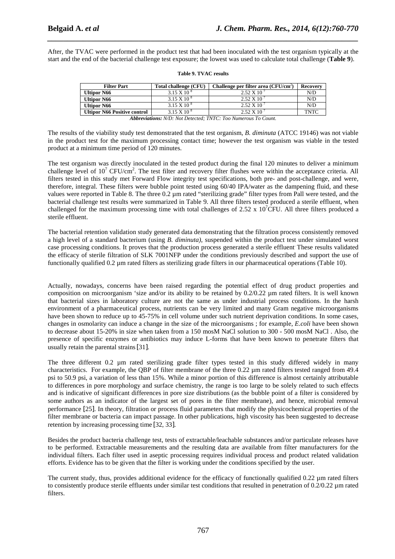After, the TVAC were performed in the product test that had been inoculated with the test organism typically at the start and the end of the bacterial challenge test exposure; the lowest was used to calculate total challenge (**Table 9**).

*\_\_\_\_\_\_\_\_\_\_\_\_\_\_\_\_\_\_\_\_\_\_\_\_\_\_\_\_\_\_\_\_\_\_\_\_\_\_\_\_\_\_\_\_\_\_\_\_\_\_\_\_\_\_\_\_\_\_\_\_\_\_\_\_\_\_\_\_\_\_\_\_\_\_\_\_\_\_*

| <b>Filter Part</b>                                                    | Total challenge (CFU) | Challenge per filter area (CFU/cm <sup>2</sup> ) | Recovery    |  |  |  |
|-----------------------------------------------------------------------|-----------------------|--------------------------------------------------|-------------|--|--|--|
| <b>Ultipor N66</b>                                                    | $3.15 \times 10^{8}$  | $2.52 \times 10$                                 | N/D         |  |  |  |
| <b>Ultipor N66</b>                                                    | $3.15 \times 10^{8}$  | $2.52 \times 10^{-7}$                            | N/D         |  |  |  |
| <b>Ultipor N66</b>                                                    | $3.15 \times 10^{8}$  | $2.52 \times 10^{-7}$                            | N/D         |  |  |  |
| <b>Ultipor N66 Positive control</b>                                   | $3.15 \times 10^{8}$  | $2.52 \times 10^{7}$                             | <b>TNTC</b> |  |  |  |
| <b>Abbreviations:</b> N/D: Not Detected; TNTC: Too Numerous To Count. |                       |                                                  |             |  |  |  |

|  |  |  | <b>Table 9. TVAC results</b> |
|--|--|--|------------------------------|
|--|--|--|------------------------------|

The results of the viability study test demonstrated that the test organism, *B. diminuta* (ATCC 19146) was not viable in the product test for the maximum processing contact time; however the test organism was viable in the tested product at a minimum time period of 120 minutes.

The test organism was directly inoculated in the tested product during the final 120 minutes to deliver a minimum challenge level of  $10^7$  CFU/cm<sup>2</sup>. The test filter and recovery filter flushes were within the acceptance criteria. All filters tested in this study met Forward Flow integrity test specifications, both pre- and post-challenge, and were, therefore, integral. These filters were bubble point tested using 60/40 IPA/water as the dampening fluid, and these values were reported in Table 8. The three  $0.2 \mu m$  rated "sterilizing grade" filter types from Pall were tested, and the bacterial challenge test results were summarized in Table 9. All three filters tested produced a sterile effluent, when challenged for the maximum processing time with total challenges of 2.52 x  $10^7$ CFU. All three filters produced a sterile effluent.

The bacterial retention validation study generated data demonstrating that the filtration process consistently removed a high level of a standard bacterium (using *B. diminuta)*, suspended within the product test under simulated worst case processing conditions. It proves that the production process generated a sterile effluent. These results validated the efficacy of sterile filtration of SLK 7001NFP under the conditions previously described and support the use of functionally qualified 0.2 µm rated filters as sterilizing grade filters in our pharmaceutical operations (Table 10).

Actually, nowadays, concerns have been raised regarding the potential effect of drug product properties and composition on microorganism 'size and/or its ability to be retained by 0.2/0.22 µm rated filters. It is well known that bacterial sizes in laboratory culture are not the same as under industrial process conditions. In the harsh environment of a pharmaceutical process, nutrients can be very limited and many Gram negative microorganisms have been shown to reduce up to 45-75% in cell volume under such nutrient deprivation conditions. In some cases, changes in osmolarity can induce a change in the size of the microorganisms ; for example, *E.coli* have been shown to decrease about 15-20% in size when taken from a 150 mosM NaCl solution to 300 - 500 mosM NaCl . Also, the presence of specific enzymes or antibiotics may induce L-forms that have been known to penetrate filters that usually retain the parental strains[31].

The three different 0.2 µm rated sterilizing grade filter types tested in this study differed widely in many characteristics. For example, the QBP of filter membrane of the three 0.22 µm rated filters tested ranged from 49.4 psi to 50.9 psi, a variation of less than 15%. While a minor portion of this difference is almost certainly attributable to differences in pore morphology and surface chemistry, the range is too large to be solely related to such effects and is indicative of significant differences in pore size distributions (as the bubble point of a filter is considered by some authors as an indicator of the largest set of pores in the filter membrane), and hence, microbial removal performance [25]. In theory, filtration or process fluid parameters that modify the physicochemical properties of the filter membrane or bacteria can impact passage. In other publications, high viscosity has been suggested to decrease retention by increasing processing time [32, 33].

Besides the product bacteria challenge test, tests of extractable/leachable substances and/or particulate releases have to be performed. Extractable measurements and the resulting data are available from filter manufacturers for the individual filters. Each filter used in aseptic processing requires individual process and product related validation efforts. Evidence has to be given that the filter is working under the conditions specified by the user.

The current study, thus, provides additional evidence for the efficacy of functionally qualified 0.22  $\mu$ m rated filters to consistently produce sterile effluents under similar test conditions that resulted in penetration of  $0.2/0.22 \mu$ m rated filters.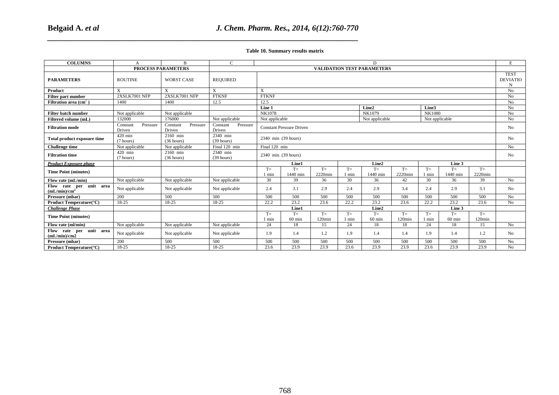# *J. Chem. Pharm. Res., 2014, 6(12):760-770*

| Table 10. Summary results matrix                    |                                |                                |                                        |                                                    |                  |                 |                           |                                   |                   |                           |                  |                 |                                     |
|-----------------------------------------------------|--------------------------------|--------------------------------|----------------------------------------|----------------------------------------------------|------------------|-----------------|---------------------------|-----------------------------------|-------------------|---------------------------|------------------|-----------------|-------------------------------------|
| <b>COLUMNS</b>                                      | A                              | $\mathbf{B}$                   | $\overline{C}$                         | D                                                  |                  |                 |                           |                                   |                   |                           |                  |                 | E                                   |
|                                                     |                                | <b>PROCESS PARAMETERS</b>      |                                        |                                                    |                  |                 |                           | <b>VALIDATION TEST PARAMETERS</b> |                   |                           |                  |                 |                                     |
| <b>PARAMETERS</b>                                   | <b>ROUTINE</b>                 | <b>WORST CASE</b>              | <b>REQUIRED</b>                        |                                                    |                  |                 |                           |                                   |                   |                           |                  |                 | <b>TEST</b><br><b>DEVIATIO</b><br>N |
| Product                                             | $\overline{X}$                 | $\mathbf{X}$                   | $\overline{X}$                         | $\overline{\text{X}}$                              |                  |                 |                           |                                   |                   |                           |                  |                 | $\rm No$                            |
| Filter part number                                  | 2XSLK7001 NFP                  | 2XSLK7001 NFP                  | <b>FTKNF</b>                           | <b>FTKNF</b>                                       |                  |                 |                           | No                                |                   |                           |                  |                 |                                     |
| Filtration area $(cm2)$                             | 1400                           | 1400                           | 12.5                                   | 12.5                                               |                  |                 |                           |                                   |                   | $\rm No$                  |                  |                 |                                     |
|                                                     |                                |                                |                                        | Line 1<br>Line2<br>Line3                           |                  |                 |                           |                                   | No<br>No          |                           |                  |                 |                                     |
| Filter batch number                                 | Not applicable                 | Not applicable                 |                                        |                                                    | NK1078<br>NK1079 |                 |                           |                                   |                   | <b>NK1080</b>             |                  |                 |                                     |
| Filtered volume (mL)                                | 132000<br>Constant<br>Pressure | 176000<br>Constant<br>Pressure | Not applicable<br>Constant<br>Pressure | Not applicable<br>Not applicable<br>Not applicable |                  |                 |                           |                                   | No                |                           |                  |                 |                                     |
| <b>Filtration mode</b>                              | Driven<br>420 min              | Driven<br>2160 min             | Driven<br>2340 min                     | <b>Constant Pressure Driven</b>                    |                  |                 |                           |                                   |                   | $\rm No$                  |                  |                 |                                     |
| Total product exposure time                         | (7 hours)                      | (36 hours)                     | $(39$ hours)                           | 2340 min (39 hours)                                |                  |                 |                           |                                   |                   |                           |                  |                 | No                                  |
| <b>Challenge time</b>                               | Not applicable                 | Not applicable                 | Final 120 min                          | Final 120 min                                      |                  |                 |                           |                                   |                   |                           |                  |                 | No                                  |
| <b>Filtration time</b>                              | 420 min                        | 2160 min                       | 2340 min                               |                                                    |                  |                 |                           |                                   |                   |                           |                  |                 |                                     |
|                                                     | (7 hours)                      | (36 hours)                     | (39 hours)                             | 2340 min (39 hours)                                |                  |                 |                           |                                   |                   |                           |                  |                 | $\rm No$                            |
| <b>Product Exposure phase</b>                       |                                |                                |                                        |                                                    | Line1            |                 |                           | Line2                             |                   |                           | Line 3           |                 |                                     |
| <b>Time Point (minutes)</b>                         |                                |                                |                                        | $T=$<br>1 min                                      | $T=$<br>1440 min | $T=$<br>2220min | $\mathcal{T}{=}$<br>1 min | $T=$<br>1440 min                  | $T=$<br>2220min   | $\mathcal{T}{=}$<br>1 min | $T=$<br>1440 min | $T=$<br>2220min |                                     |
| Flow rate (mL/min)                                  | Not applicable                 | Not applicable                 | Not applicable                         | 30                                                 | 39               | 36              | 30                        | 36                                | 42                | 30                        | 36               | 39              | No                                  |
| Flow rate per unit area<br>(mL/min)/cm <sup>2</sup> | Not applicable                 | Not applicable                 | Not applicable                         | 2.4                                                | 3.1              | 2.9             | 2.4                       | 2.9                               | 3.4               | 2.4                       | 2.9              | 3.1             | No                                  |
| Pressure (mbar)                                     | 200                            | 500                            | 500                                    | 500                                                | 500              | 500             | 500                       | 500                               | 500               | 500                       | 500              | 500             | No                                  |
| Product Temperature(°C)                             | 18-25                          | $18-25$                        | 18-25                                  | 22.2                                               | 23.2             | 23.6            | 22.2                      | 23.2                              | 23.6              | 22.2                      | 23.2             | 23.6            | No                                  |
| <b>Challenge Phase</b>                              |                                |                                |                                        |                                                    | Line1            |                 |                           | Line2                             |                   |                           | Line 3           |                 |                                     |
| <b>Time Point (minutes)</b>                         |                                |                                |                                        | $T=$<br>1 min                                      | $T=$<br>$60$ min | $T=$<br>120min  | $T=$<br>1 min             | $T=$<br>$60$ min                  | $T=$<br>$120$ min | $T=$<br>1 min             | $T=$<br>$60$ min | $T=$<br>120min  |                                     |
| Flow rate (ml/min)                                  | Not applicable                 | Not applicable                 | Not applicable                         | 24                                                 | 18               | 15              | 24                        | 18                                | 18                | 24                        | 18               | 15              | No                                  |
| Flow rate per unit area<br>(mL/min)/cm2             | Not applicable                 | Not applicable                 | Not applicable                         | 1.9                                                | 1.4              | 1.2             | 1.9                       | $1.4\,$                           | 1.4               | 1.9                       | $1.4\,$          | 1.2             | No                                  |
| Pressure (mbar)                                     | 200                            | 500                            | 500                                    | 500                                                | 500              | 500             | 500                       | 500                               | 500               | 500                       | 500              | 500             | N <sub>0</sub>                      |
| <b>Product Temperature</b> (°C)                     | $18-25$                        | $18-25$                        | $18-25$                                | 23.6                                               | 23.9             | 23.9            | 23.6                      | 23.9                              | 23.9              | 23.6                      | 23.9             | 23.9            | No                                  |
|                                                     |                                |                                |                                        |                                                    |                  |                 |                           |                                   |                   |                           |                  |                 |                                     |
| 768                                                 |                                |                                |                                        |                                                    |                  |                 |                           |                                   |                   |                           |                  |                 |                                     |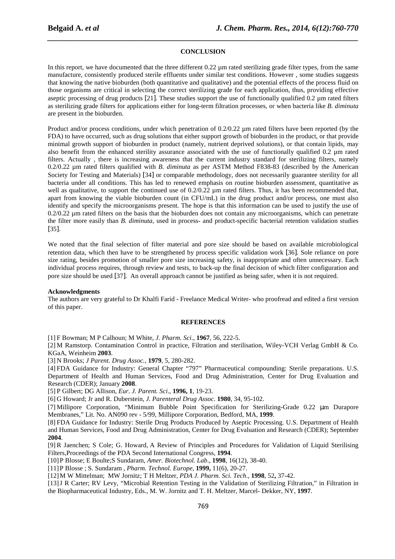#### **CONCLUSION**

*\_\_\_\_\_\_\_\_\_\_\_\_\_\_\_\_\_\_\_\_\_\_\_\_\_\_\_\_\_\_\_\_\_\_\_\_\_\_\_\_\_\_\_\_\_\_\_\_\_\_\_\_\_\_\_\_\_\_\_\_\_\_\_\_\_\_\_\_\_\_\_\_\_\_\_\_\_\_*

In this report, we have documented that the three different 0.22  $\mu$ m rated sterilizing grade filter types, from the same manufacture, consistently produced sterile effluents under similar test conditions. However , some studies suggests that knowing the native bioburden (both quantitative and qualitative) and the potential effects of the process fluid on those organisms are critical in selecting the correct sterilizing grade for each application, thus, providing effective aseptic processing of drug products [21]. These studies support the use of functionally qualified 0.2 µm rated filters as sterilizing grade filters for applications either for long-term filtration processes, or when bacteria like *B. diminuta*  are present in the bioburden.

Product and/or process conditions, under which penetration of  $0.2/0.22$   $\mu$ m rated filters have been reported (by the FDA) to have occurred, such as drug solutions that either support growth of bioburden in the product, or that provide minimal growth support of bioburden in product (namely, nutrient deprived solutions), or that contain lipids, may also benefit from the enhanced sterility assurance associated with the use of functionally qualified 0.2 µm rated filters. Actually , there is increasing awareness that the current industry standard for sterilizing filters, namely 0.2/0.22 µm rated filters qualified with *B. diminuta* as per ASTM Method F838-83 (described by the American Society for Testing and Materials) [34] or comparable methodology, does not necessarily guarantee sterility for all bacteria under all conditions. This has led to renewed emphasis on routine bioburden assessment, quantitative as well as qualitative, to support the continued use of 0.2/0.22  $\mu$ m rated filters. Thus, it has been recommended that, apart from knowing the viable bioburden count (in CFU/mL) in the drug product and/or process, one must also identify and specify the microorganisms present. The hope is that this information can be used to justify the use of  $0.2/0.22$   $\mu$ m rated filters on the basis that the bioburden does not contain any microorganisms, which can penetrate the filter more easily than *B. diminuta*, used in process- and product-specific bacterial retention validation studies [35].

We noted that the final selection of filter material and pore size should be based on available microbiological retention data, which then have to be strengthened by process specific validation work [36]. Sole reliance on pore size rating, besides promotion of smaller pore size increasing safety, is inappropriate and often unnecessary. Each individual process requires, through review and tests, to back-up the final decision of which filter configuration and pore size should be used [37]. An overall approach cannot be justified as being safer, when it is not required.

#### **Acknowledgments**

The authors are very grateful to Dr Khalfi Farid - Freelance Medical Writer- who proofread and edited a first version of this paper.

#### **REFERENCES**

[1] F Bowman; M P Calhoun; M White, *J. Pharm. Sci*., **1967**, 56, 222-5.

[2] M Ramstorp. Contamination Control in practice, Filtration and sterilisation, Wiley-VCH Verlag GmbH & Co. KGaA, Weinheim **2003**.

[3] N Brooks; *J Parent. Drug Assoc.,* **1979**, 5, 280-282.

[4] FDA Guidance for Industry: General Chapter "797" Pharmaceutical compounding: Sterile preparations. U.S. Department of Health and Human Services, Food and Drug Administration, Center for Drug Evaluation and Research (CDER); January **2008**.

[5] P Gilbert; DG Allison, *Eur. J. Parent. Sci*., **1996, 1**, 19-23.

[6] G Howard; Jr and R. Duberstein, *J. Parenteral Drug Assoc*. **1980**, 34, 95-102.

[7] Millipore Corporation, "Minimum Bubble Point Specification for Sterilizing-Grade 0.22 µm Durapore Membranes," Lit. No. AN090 rev - 5/99, Millipore Corporation, Bedford, MA, **1999**.

[8] FDA Guidance for Industry: Sterile Drug Products Produced by Aseptic Processing. U.S. Department of Health and Human Services, Food and Drug Administration, Center for Drug Evaluation and Research (CDER); September **2004**.

[9] R Jaenchen; S Cole; G. Howard, A Review of Principles and Procedures for Validation of Liquid Sterilising Filters,Proceedings of the PDA Second International Congress, **1994**.

[10]P Blosse; E Boulte;S Sundaram, *Amer. Biotechnol. Lab*., **1998**, 16(12), 38-40.

[11]P Blosse ; S. Sundaram , *Pharm. Technol. Europe*, **1999,** 11(6), 20-27.

[12]M W Mittelman; MW Jornitz; T H Meltzer, *PDA J. Pharm. Sci. Tech*., **1998**, 52**,** 37-42.

[13]J R Carter; RV Levy, "Microbial Retention Testing in the Validation of Sterilizing Filtration," in Filtration in the Biopharmaceutical Industry, Eds., M. W. Jornitz and T. H. Meltzer, Marcel- Dekker, NY, **1997**.